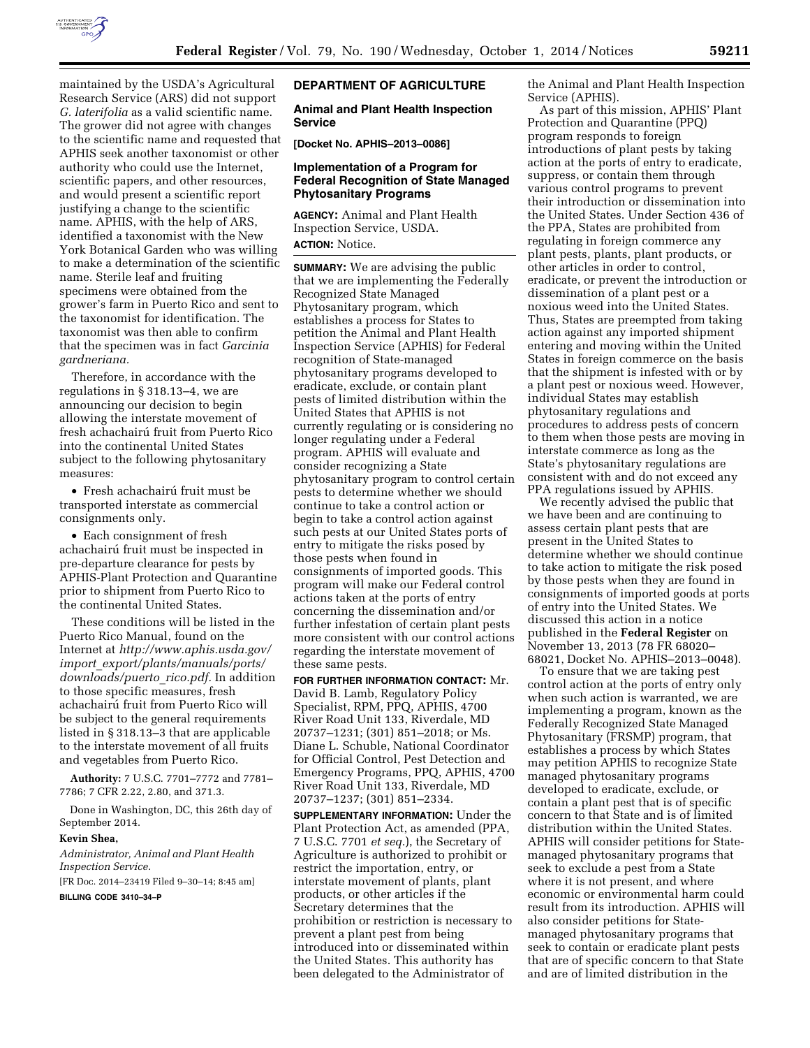

maintained by the USDA's Agricultural Research Service (ARS) did not support *G. laterifolia* as a valid scientific name. The grower did not agree with changes to the scientific name and requested that APHIS seek another taxonomist or other authority who could use the Internet, scientific papers, and other resources, and would present a scientific report justifying a change to the scientific name. APHIS, with the help of ARS, identified a taxonomist with the New York Botanical Garden who was willing to make a determination of the scientific name. Sterile leaf and fruiting specimens were obtained from the grower's farm in Puerto Rico and sent to the taxonomist for identification. The taxonomist was then able to confirm that the specimen was in fact *Garcinia gardneriana.* 

Therefore, in accordance with the regulations in § 318.13–4, we are announcing our decision to begin allowing the interstate movement of fresh achachairú fruit from Puerto Rico into the continental United States subject to the following phytosanitary measures:

 $\bullet~$  Fresh achachairú fruit must be transported interstate as commercial consignments only.

• Each consignment of fresh achachairú fruit must be inspected in pre-departure clearance for pests by APHIS-Plant Protection and Quarantine prior to shipment from Puerto Rico to the continental United States.

These conditions will be listed in the Puerto Rico Manual, found on the Internet at *http://www.aphis.usda.gov/ import*\_*export/plants/manuals/ports/ downloads/puerto*\_*rico.pdf.* In addition to those specific measures, fresh achachairú fruit from Puerto Rico will be subject to the general requirements listed in § 318.13–3 that are applicable to the interstate movement of all fruits and vegetables from Puerto Rico.

**Authority:** 7 U.S.C. 7701–7772 and 7781– 7786; 7 CFR 2.22, 2.80, and 371.3.

Done in Washington, DC, this 26th day of September 2014.

#### **Kevin Shea,**

*Administrator, Animal and Plant Health Inspection Service.* 

[FR Doc. 2014–23419 Filed 9–30–14; 8:45 am]

**BILLING CODE 3410–34–P** 

#### **DEPARTMENT OF AGRICULTURE**

**Animal and Plant Health Inspection Service** 

**[Docket No. APHIS–2013–0086]** 

# **Implementation of a Program for Federal Recognition of State Managed Phytosanitary Programs**

**AGENCY:** Animal and Plant Health Inspection Service, USDA. **ACTION:** Notice.

**SUMMARY:** We are advising the public that we are implementing the Federally Recognized State Managed Phytosanitary program, which establishes a process for States to petition the Animal and Plant Health Inspection Service (APHIS) for Federal recognition of State-managed phytosanitary programs developed to eradicate, exclude, or contain plant pests of limited distribution within the United States that APHIS is not currently regulating or is considering no longer regulating under a Federal program. APHIS will evaluate and consider recognizing a State phytosanitary program to control certain pests to determine whether we should continue to take a control action or begin to take a control action against such pests at our United States ports of entry to mitigate the risks posed by those pests when found in consignments of imported goods. This program will make our Federal control actions taken at the ports of entry concerning the dissemination and/or further infestation of certain plant pests more consistent with our control actions regarding the interstate movement of these same pests.

**FOR FURTHER INFORMATION CONTACT:** Mr. David B. Lamb, Regulatory Policy Specialist, RPM, PPQ, APHIS, 4700 River Road Unit 133, Riverdale, MD 20737–1231; (301) 851–2018; or Ms. Diane L. Schuble, National Coordinator for Official Control, Pest Detection and Emergency Programs, PPQ, APHIS, 4700 River Road Unit 133, Riverdale, MD 20737–1237; (301) 851–2334.

**SUPPLEMENTARY INFORMATION:** Under the Plant Protection Act, as amended (PPA, 7 U.S.C. 7701 *et seq.*), the Secretary of Agriculture is authorized to prohibit or restrict the importation, entry, or interstate movement of plants, plant products, or other articles if the Secretary determines that the prohibition or restriction is necessary to prevent a plant pest from being introduced into or disseminated within the United States. This authority has been delegated to the Administrator of

the Animal and Plant Health Inspection Service (APHIS).

As part of this mission, APHIS' Plant Protection and Quarantine (PPQ) program responds to foreign introductions of plant pests by taking action at the ports of entry to eradicate, suppress, or contain them through various control programs to prevent their introduction or dissemination into the United States. Under Section 436 of the PPA, States are prohibited from regulating in foreign commerce any plant pests, plants, plant products, or other articles in order to control, eradicate, or prevent the introduction or dissemination of a plant pest or a noxious weed into the United States. Thus, States are preempted from taking action against any imported shipment entering and moving within the United States in foreign commerce on the basis that the shipment is infested with or by a plant pest or noxious weed. However, individual States may establish phytosanitary regulations and procedures to address pests of concern to them when those pests are moving in interstate commerce as long as the State's phytosanitary regulations are consistent with and do not exceed any PPA regulations issued by APHIS.

We recently advised the public that we have been and are continuing to assess certain plant pests that are present in the United States to determine whether we should continue to take action to mitigate the risk posed by those pests when they are found in consignments of imported goods at ports of entry into the United States. We discussed this action in a notice published in the **Federal Register** on November 13, 2013 (78 FR 68020– 68021, Docket No. APHIS–2013–0048).

To ensure that we are taking pest control action at the ports of entry only when such action is warranted, we are implementing a program, known as the Federally Recognized State Managed Phytosanitary (FRSMP) program, that establishes a process by which States may petition APHIS to recognize State managed phytosanitary programs developed to eradicate, exclude, or contain a plant pest that is of specific concern to that State and is of limited distribution within the United States. APHIS will consider petitions for Statemanaged phytosanitary programs that seek to exclude a pest from a State where it is not present, and where economic or environmental harm could result from its introduction. APHIS will also consider petitions for Statemanaged phytosanitary programs that seek to contain or eradicate plant pests that are of specific concern to that State and are of limited distribution in the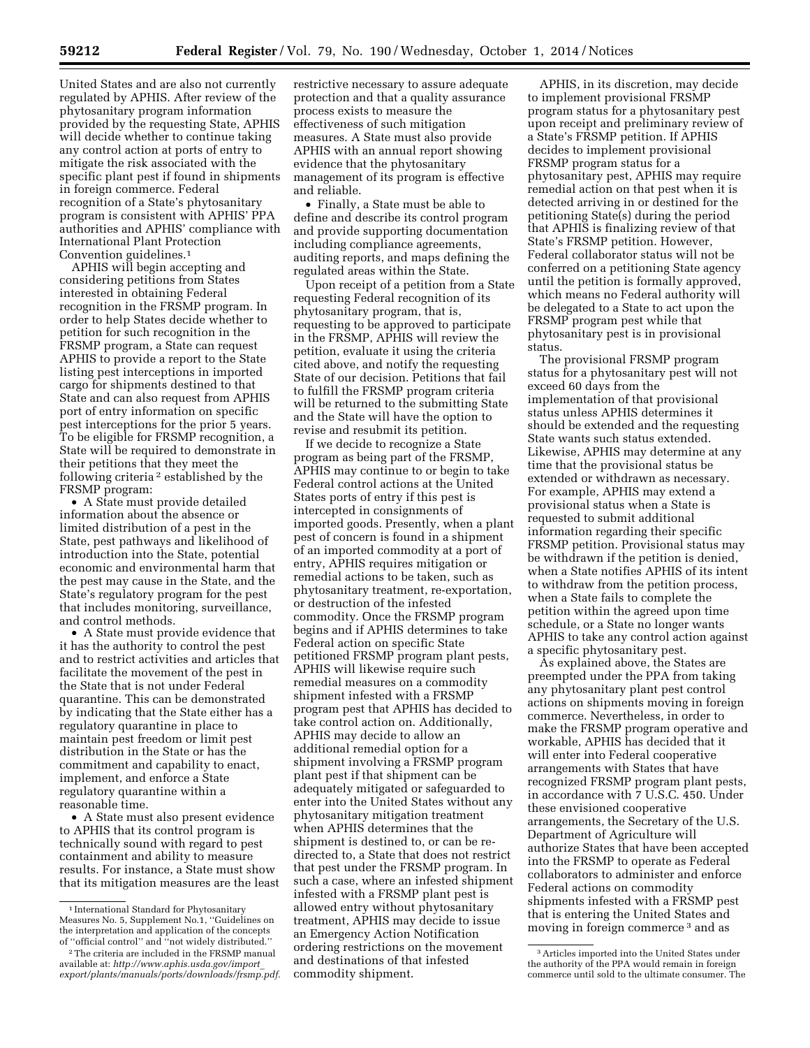United States and are also not currently regulated by APHIS. After review of the phytosanitary program information provided by the requesting State, APHIS will decide whether to continue taking any control action at ports of entry to mitigate the risk associated with the specific plant pest if found in shipments in foreign commerce. Federal recognition of a State's phytosanitary program is consistent with APHIS' PPA authorities and APHIS' compliance with International Plant Protection Convention guidelines.1

APHIS will begin accepting and considering petitions from States interested in obtaining Federal recognition in the FRSMP program. In order to help States decide whether to petition for such recognition in the FRSMP program, a State can request APHIS to provide a report to the State listing pest interceptions in imported cargo for shipments destined to that State and can also request from APHIS port of entry information on specific pest interceptions for the prior 5 years. To be eligible for FRSMP recognition, a State will be required to demonstrate in their petitions that they meet the following criteria 2 established by the FRSMP program:

• A State must provide detailed information about the absence or limited distribution of a pest in the State, pest pathways and likelihood of introduction into the State, potential economic and environmental harm that the pest may cause in the State, and the State's regulatory program for the pest that includes monitoring, surveillance, and control methods.

• A State must provide evidence that it has the authority to control the pest and to restrict activities and articles that facilitate the movement of the pest in the State that is not under Federal quarantine. This can be demonstrated by indicating that the State either has a regulatory quarantine in place to maintain pest freedom or limit pest distribution in the State or has the commitment and capability to enact, implement, and enforce a State regulatory quarantine within a reasonable time.

• A State must also present evidence to APHIS that its control program is technically sound with regard to pest containment and ability to measure results. For instance, a State must show that its mitigation measures are the least

restrictive necessary to assure adequate protection and that a quality assurance process exists to measure the effectiveness of such mitigation measures. A State must also provide APHIS with an annual report showing evidence that the phytosanitary management of its program is effective and reliable.

• Finally, a State must be able to define and describe its control program and provide supporting documentation including compliance agreements, auditing reports, and maps defining the regulated areas within the State.

Upon receipt of a petition from a State requesting Federal recognition of its phytosanitary program, that is, requesting to be approved to participate in the FRSMP, APHIS will review the petition, evaluate it using the criteria cited above, and notify the requesting State of our decision. Petitions that fail to fulfill the FRSMP program criteria will be returned to the submitting State and the State will have the option to revise and resubmit its petition.

If we decide to recognize a State program as being part of the FRSMP, APHIS may continue to or begin to take Federal control actions at the United States ports of entry if this pest is intercepted in consignments of imported goods. Presently, when a plant pest of concern is found in a shipment of an imported commodity at a port of entry, APHIS requires mitigation or remedial actions to be taken, such as phytosanitary treatment, re-exportation, or destruction of the infested commodity. Once the FRSMP program begins and if APHIS determines to take Federal action on specific State petitioned FRSMP program plant pests, APHIS will likewise require such remedial measures on a commodity shipment infested with a FRSMP program pest that APHIS has decided to take control action on. Additionally, APHIS may decide to allow an additional remedial option for a shipment involving a FRSMP program plant pest if that shipment can be adequately mitigated or safeguarded to enter into the United States without any phytosanitary mitigation treatment when APHIS determines that the shipment is destined to, or can be redirected to, a State that does not restrict that pest under the FRSMP program. In such a case, where an infested shipment infested with a FRSMP plant pest is allowed entry without phytosanitary treatment, APHIS may decide to issue an Emergency Action Notification ordering restrictions on the movement and destinations of that infested commodity shipment.

APHIS, in its discretion, may decide to implement provisional FRSMP program status for a phytosanitary pest upon receipt and preliminary review of a State's FRSMP petition. If APHIS decides to implement provisional FRSMP program status for a phytosanitary pest, APHIS may require remedial action on that pest when it is detected arriving in or destined for the petitioning State(s) during the period that APHIS is finalizing review of that State's FRSMP petition. However, Federal collaborator status will not be conferred on a petitioning State agency until the petition is formally approved, which means no Federal authority will be delegated to a State to act upon the FRSMP program pest while that phytosanitary pest is in provisional status.

The provisional FRSMP program status for a phytosanitary pest will not exceed 60 days from the implementation of that provisional status unless APHIS determines it should be extended and the requesting State wants such status extended. Likewise, APHIS may determine at any time that the provisional status be extended or withdrawn as necessary. For example, APHIS may extend a provisional status when a State is requested to submit additional information regarding their specific FRSMP petition. Provisional status may be withdrawn if the petition is denied, when a State notifies APHIS of its intent to withdraw from the petition process, when a State fails to complete the petition within the agreed upon time schedule, or a State no longer wants APHIS to take any control action against a specific phytosanitary pest.

As explained above, the States are preempted under the PPA from taking any phytosanitary plant pest control actions on shipments moving in foreign commerce. Nevertheless, in order to make the FRSMP program operative and workable, APHIS has decided that it will enter into Federal cooperative arrangements with States that have recognized FRSMP program plant pests, in accordance with 7 U.S.C. 450. Under these envisioned cooperative arrangements, the Secretary of the U.S. Department of Agriculture will authorize States that have been accepted into the FRSMP to operate as Federal collaborators to administer and enforce Federal actions on commodity shipments infested with a FRSMP pest that is entering the United States and moving in foreign commerce 3 and as

<sup>&</sup>lt;sup>1</sup> International Standard for Phytosanitary Measures No. 5, Supplement No.1, ''Guidelines on the interpretation and application of the concepts of ''official control'' and ''not widely distributed.''

<sup>2</sup>The criteria are included in the FRSMP manual available at: *http://www.aphis.usda.gov/import*\_ *export/plants/manuals/ports/downloads/frsmp.pdf.* 

<sup>3</sup>Articles imported into the United States under the authority of the PPA would remain in foreign commerce until sold to the ultimate consumer. The